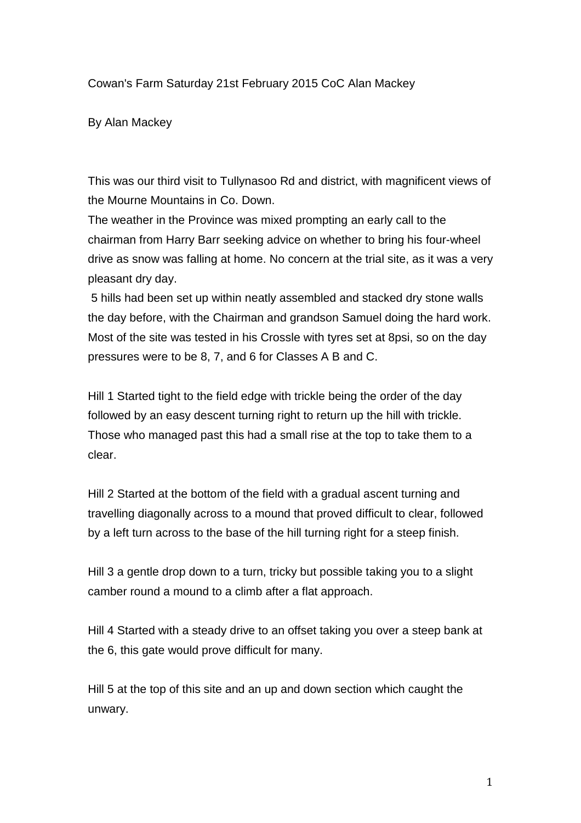Cowan's Farm Saturday 21st February 2015 CoC Alan Mackey

By Alan Mackey

This was our third visit to Tullynasoo Rd and district, with magnificent views of the Mourne Mountains in Co. Down.

The weather in the Province was mixed prompting an early call to the chairman from Harry Barr seeking advice on whether to bring his four-wheel drive as snow was falling at home. No concern at the trial site, as it was a very pleasant dry day.

5 hills had been set up within neatly assembled and stacked dry stone walls the day before, with the Chairman and grandson Samuel doing the hard work. Most of the site was tested in his Crossle with tyres set at 8psi, so on the day pressures were to be 8, 7, and 6 for Classes A B and C.

Hill 1 Started tight to the field edge with trickle being the order of the day followed by an easy descent turning right to return up the hill with trickle. Those who managed past this had a small rise at the top to take them to a clear.

Hill 2 Started at the bottom of the field with a gradual ascent turning and travelling diagonally across to a mound that proved difficult to clear, followed by a left turn across to the base of the hill turning right for a steep finish.

Hill 3 a gentle drop down to a turn, tricky but possible taking you to a slight camber round a mound to a climb after a flat approach.

Hill 4 Started with a steady drive to an offset taking you over a steep bank at the 6, this gate would prove difficult for many.

Hill 5 at the top of this site and an up and down section which caught the unwary.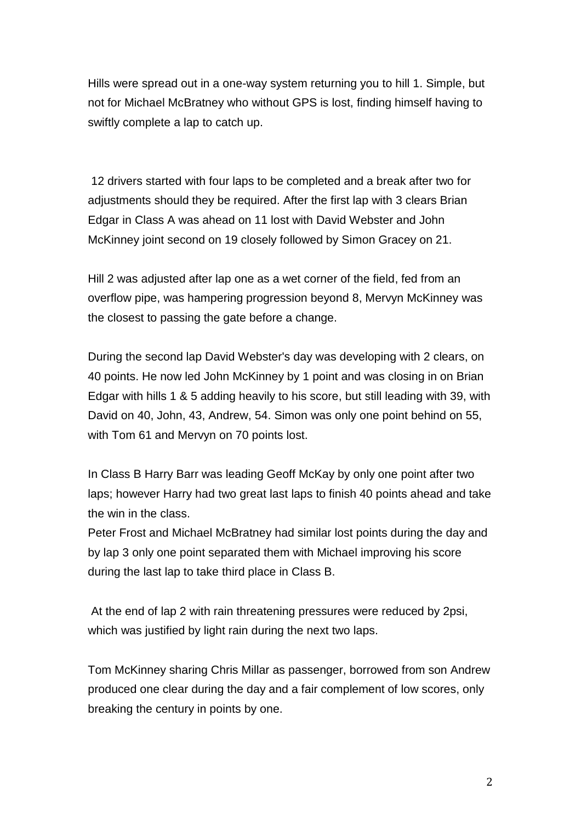Hills were spread out in a one-way system returning you to hill 1. Simple, but not for Michael McBratney who without GPS is lost, finding himself having to swiftly complete a lap to catch up.

12 drivers started with four laps to be completed and a break after two for adjustments should they be required. After the first lap with 3 clears Brian Edgar in Class A was ahead on 11 lost with David Webster and John McKinney joint second on 19 closely followed by Simon Gracey on 21.

Hill 2 was adjusted after lap one as a wet corner of the field, fed from an overflow pipe, was hampering progression beyond 8, Mervyn McKinney was the closest to passing the gate before a change.

During the second lap David Webster's day was developing with 2 clears, on 40 points. He now led John McKinney by 1 point and was closing in on Brian Edgar with hills 1 & 5 adding heavily to his score, but still leading with 39, with David on 40, John, 43, Andrew, 54. Simon was only one point behind on 55, with Tom 61 and Mervyn on 70 points lost.

In Class B Harry Barr was leading Geoff McKay by only one point after two laps; however Harry had two great last laps to finish 40 points ahead and take the win in the class.

Peter Frost and Michael McBratney had similar lost points during the day and by lap 3 only one point separated them with Michael improving his score during the last lap to take third place in Class B.

At the end of lap 2 with rain threatening pressures were reduced by 2psi, which was justified by light rain during the next two laps.

Tom McKinney sharing Chris Millar as passenger, borrowed from son Andrew produced one clear during the day and a fair complement of low scores, only breaking the century in points by one.